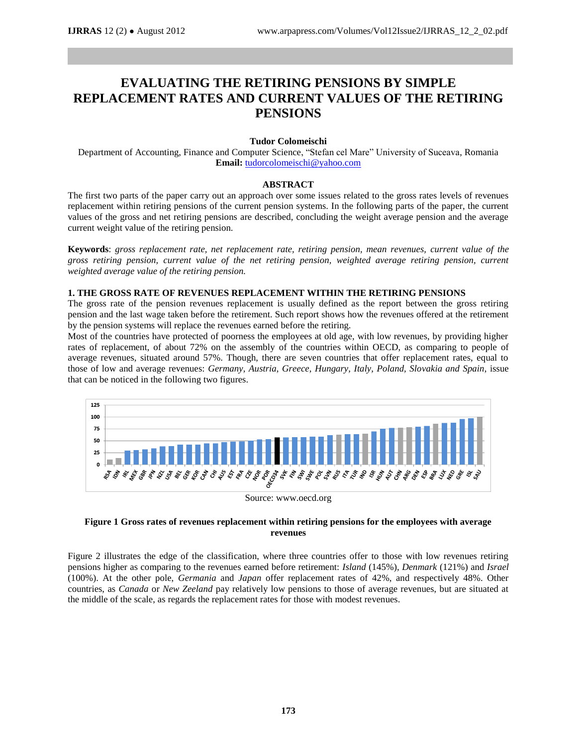# **EVALUATING THE RETIRING PENSIONS BY SIMPLE REPLACEMENT RATES AND CURRENT VALUES OF THE RETIRING PENSIONS**

#### **Tudor Colomeischi**

Department of Accounting, Finance and Computer Science, "Stefan cel Mare" University of Suceava, Romania **Email:** [tudorcolomeischi@yahoo.com](mailto:tudorcolomeischi@yahoo.com)

#### **ABSTRACT**

The first two parts of the paper carry out an approach over some issues related to the gross rates levels of revenues replacement within retiring pensions of the current pension systems. In the following parts of the paper, the current values of the gross and net retiring pensions are described, concluding the weight average pension and the average current weight value of the retiring pension.

**Keywords**: *gross replacement rate, net replacement rate, retiring pension, mean revenues, current value of the gross retiring pension, current value of the net retiring pension, weighted average retiring pension, current weighted average value of the retiring pension.*

#### **1. THE GROSS RATE OF REVENUES REPLACEMENT WITHIN THE RETIRING PENSIONS**

The gross rate of the pension revenues replacement is usually defined as the report between the gross retiring pension and the last wage taken before the retirement. Such report shows how the revenues offered at the retirement by the pension systems will replace the revenues earned before the retiring.

Most of the countries have protected of poorness the employees at old age, with low revenues, by providing higher rates of replacement, of about 72% on the assembly of the countries within OECD, as comparing to people of average revenues, situated around 57%. Though, there are seven countries that offer replacement rates, equal to those of low and average revenues: *Germany, Austria, Greece, Hungary, Italy, Poland, Slovakia and Spain*, issue that can be noticed in the following two figures.



Source: www.oecd.org

## **Figure 1 Gross rates of revenues replacement within retiring pensions for the employees with average revenues**

Figure 2 illustrates the edge of the classification, where three countries offer to those with low revenues retiring pensions higher as comparing to the revenues earned before retirement: *Island* (145%), *Denmark* (121%) and *Israel* (100%). At the other pole, *Germania* and *Japan* offer replacement rates of 42%, and respectively 48%. Other countries, as *Canada* or *New Zeeland* pay relatively low pensions to those of average revenues, but are situated at the middle of the scale, as regards the replacement rates for those with modest revenues.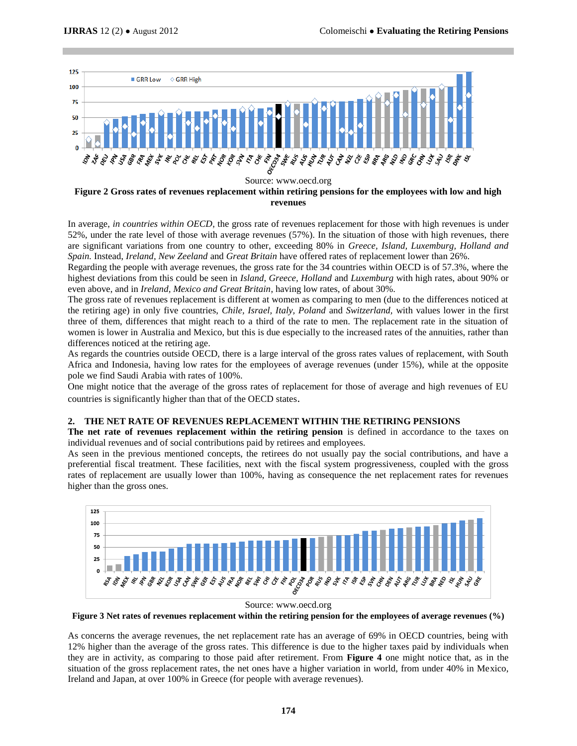

**Figure 2 Gross rates of revenues replacement within retiring pensions for the employees with low and high revenues** 

In average, *in countries within OECD*, the gross rate of revenues replacement for those with high revenues is under 52%, under the rate level of those with average revenues (57%). In the situation of those with high revenues, there are significant variations from one country to other, exceeding 80% in *Greece, Island, Luxemburg, Holland and Spain.* Instead, *Ireland, New Zeeland* and *Great Britain* have offered rates of replacement lower than 26%.

Regarding the people with average revenues, the gross rate for the 34 countries within OECD is of 57.3%, where the highest deviations from this could be seen in *Island, Greece, Holland* and *Luxemburg* with high rates, about 90% or even above, and in *Ireland, Mexico and Great Britain*, having low rates, of about 30%.

The gross rate of revenues replacement is different at women as comparing to men (due to the differences noticed at the retiring age) in only five countries, *Chile, Israel, Italy, Poland* and *Switzerland,* with values lower in the first three of them, differences that might reach to a third of the rate to men. The replacement rate in the situation of women is lower in Australia and Mexico, but this is due especially to the increased rates of the annuities, rather than differences noticed at the retiring age.

As regards the countries outside OECD, there is a large interval of the gross rates values of replacement, with South Africa and Indonesia, having low rates for the employees of average revenues (under 15%), while at the opposite pole we find Saudi Arabia with rates of 100%.

One might notice that the average of the gross rates of replacement for those of average and high revenues of EU countries is significantly higher than that of the OECD states.

## **2. THE NET RATE OF REVENUES REPLACEMENT WITHIN THE RETIRING PENSIONS**

**The net rate of revenues replacement within the retiring pension** is defined in accordance to the taxes on individual revenues and of social contributions paid by retirees and employees.

As seen in the previous mentioned concepts, the retirees do not usually pay the social contributions, and have a preferential fiscal treatment. These facilities, next with the fiscal system progressiveness, coupled with the gross rates of replacement are usually lower than 100%, having as consequence the net replacement rates for revenues higher than the gross ones.





As concerns the average revenues, the net replacement rate has an average of 69% in OECD countries, being with 12% higher than the average of the gross rates. This difference is due to the higher taxes paid by individuals when they are in activity, as comparing to those paid after retirement. From **Figure 4** one might notice that, as in the situation of the gross replacement rates, the net ones have a higher variation in world, from under 40% in Mexico, Ireland and Japan, at over 100% in Greece (for people with average revenues).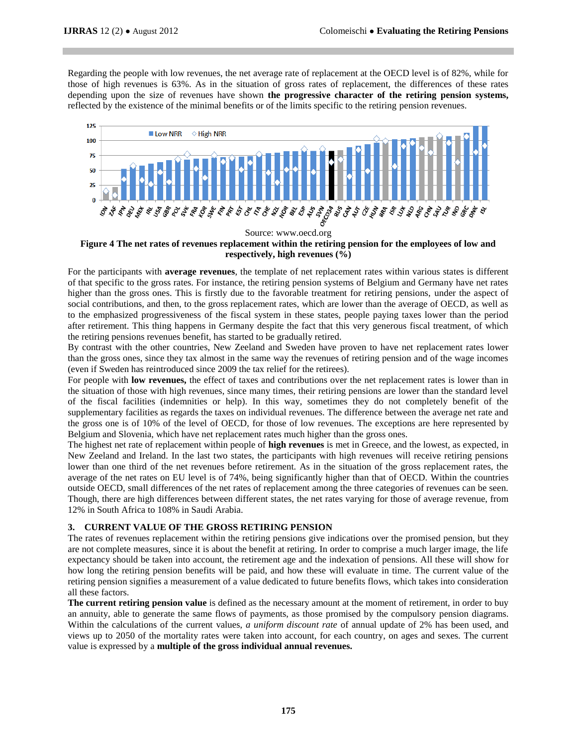Regarding the people with low revenues, the net average rate of replacement at the OECD level is of 82%, while for those of high revenues is 63%. As in the situation of gross rates of replacement, the differences of these rates depending upon the size of revenues have shown **the progressive character of the retiring pension systems,**  reflected by the existence of the minimal benefits or of the limits specific to the retiring pension revenues.



## **Figure 4 The net rates of revenues replacement within the retiring pension for the employees of low and respectively, high revenues (%)**

For the participants with **average revenues**, the template of net replacement rates within various states is different of that specific to the gross rates. For instance, the retiring pension systems of Belgium and Germany have net rates higher than the gross ones. This is firstly due to the favorable treatment for retiring pensions, under the aspect of social contributions, and then, to the gross replacement rates, which are lower than the average of OECD, as well as to the emphasized progressiveness of the fiscal system in these states, people paying taxes lower than the period after retirement. This thing happens in Germany despite the fact that this very generous fiscal treatment, of which the retiring pensions revenues benefit, has started to be gradually retired.

By contrast with the other countries, New Zeeland and Sweden have proven to have net replacement rates lower than the gross ones, since they tax almost in the same way the revenues of retiring pension and of the wage incomes (even if Sweden has reintroduced since 2009 the tax relief for the retirees).

For people with **low revenues,** the effect of taxes and contributions over the net replacement rates is lower than in the situation of those with high revenues, since many times, their retiring pensions are lower than the standard level of the fiscal facilities (indemnities or help). In this way, sometimes they do not completely benefit of the supplementary facilities as regards the taxes on individual revenues. The difference between the average net rate and the gross one is of 10% of the level of OECD, for those of low revenues. The exceptions are here represented by Belgium and Slovenia, which have net replacement rates much higher than the gross ones.

The highest net rate of replacement within people of **high revenues** is met in Greece, and the lowest, as expected, in New Zeeland and Ireland. In the last two states, the participants with high revenues will receive retiring pensions lower than one third of the net revenues before retirement. As in the situation of the gross replacement rates, the average of the net rates on EU level is of 74%, being significantly higher than that of OECD. Within the countries outside OECD, small differences of the net rates of replacement among the three categories of revenues can be seen. Though, there are high differences between different states, the net rates varying for those of average revenue, from 12% in South Africa to 108% in Saudi Arabia.

# **3. CURRENT VALUE OF THE GROSS RETIRING PENSION**

The rates of revenues replacement within the retiring pensions give indications over the promised pension, but they are not complete measures, since it is about the benefit at retiring. In order to comprise a much larger image, the life expectancy should be taken into account, the retirement age and the indexation of pensions. All these will show for how long the retiring pension benefits will be paid, and how these will evaluate in time. The current value of the retiring pension signifies a measurement of a value dedicated to future benefits flows, which takes into consideration all these factors.

**The current retiring pension value** is defined as the necessary amount at the moment of retirement, in order to buy an annuity, able to generate the same flows of payments, as those promised by the compulsory pension diagrams. Within the calculations of the current values, *a uniform discount rate* of annual update of 2% has been used, and views up to 2050 of the mortality rates were taken into account, for each country, on ages and sexes. The current value is expressed by a **multiple of the gross individual annual revenues.**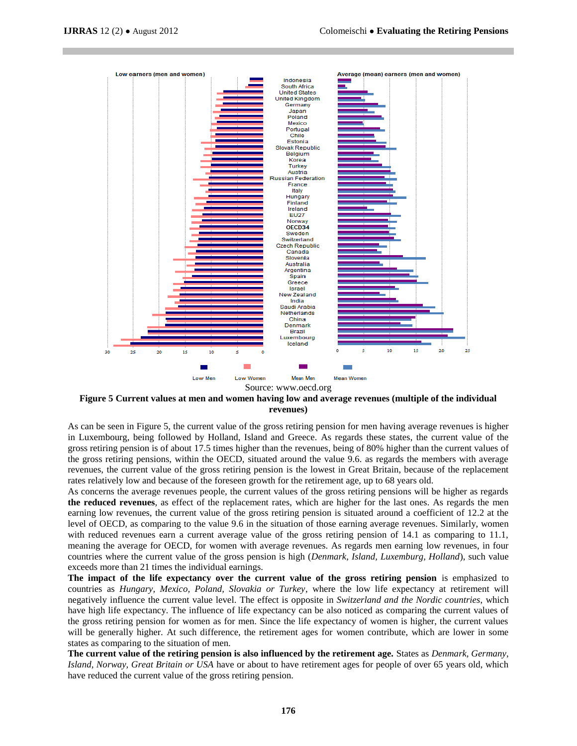

**Figure 5 Current values at men and women having low and average revenues (multiple of the individual revenues)**

As can be seen in Figure 5, the current value of the gross retiring pension for men having average revenues is higher in Luxembourg, being followed by Holland, Island and Greece. As regards these states, the current value of the gross retiring pension is of about 17.5 times higher than the revenues, being of 80% higher than the current values of the gross retiring pensions, within the OECD, situated around the value 9.6. as regards the members with average revenues, the current value of the gross retiring pension is the lowest in Great Britain, because of the replacement rates relatively low and because of the foreseen growth for the retirement age, up to 68 years old.

As concerns the average revenues people, the current values of the gross retiring pensions will be higher as regards **the reduced revenues**, as effect of the replacement rates, which are higher for the last ones. As regards the men earning low revenues, the current value of the gross retiring pension is situated around a coefficient of 12.2 at the level of OECD, as comparing to the value 9.6 in the situation of those earning average revenues. Similarly, women with reduced revenues earn a current average value of the gross retiring pension of 14.1 as comparing to 11.1, meaning the average for OECD, for women with average revenues. As regards men earning low revenues, in four countries where the current value of the gross pension is high (*Denmark, Island, Luxemburg, Holland*), such value exceeds more than 21 times the individual earnings.

The impact of the life expectancy over the current value of the gross retiring pension is emphasized to countries as *Hungary, Mexico, Poland, Slovakia or Turkey*, where the low life expectancy at retirement will negatively influence the current value level. The effect is opposite in *Switzerland and the Nordic countries*, which have high life expectancy. The influence of life expectancy can be also noticed as comparing the current values of the gross retiring pension for women as for men. Since the life expectancy of women is higher, the current values will be generally higher. At such difference, the retirement ages for women contribute, which are lower in some states as comparing to the situation of men.

**The current value of the retiring pension is also influenced by the retirement age.** States as *Denmark, Germany, Island, Norway, Great Britain or USA* have or about to have retirement ages for people of over 65 years old, which have reduced the current value of the gross retiring pension.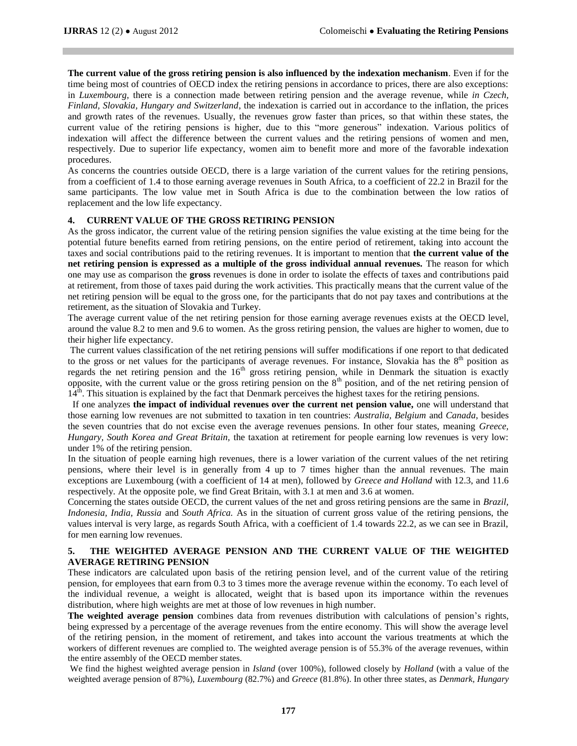**The current value of the gross retiring pension is also influenced by the indexation mechanism**. Even if for the time being most of countries of OECD index the retiring pensions in accordance to prices, there are also exceptions: in *Luxembourg,* there is a connection made between retiring pension and the average revenue, while *in Czech, Finland, Slovakia, Hungary and Switzerland*, the indexation is carried out in accordance to the inflation, the prices and growth rates of the revenues. Usually, the revenues grow faster than prices, so that within these states, the current value of the retiring pensions is higher, due to this "more generous" indexation. Various politics of indexation will affect the difference between the current values and the retiring pensions of women and men, respectively. Due to superior life expectancy, women aim to benefit more and more of the favorable indexation procedures.

As concerns the countries outside OECD, there is a large variation of the current values for the retiring pensions, from a coefficient of 1.4 to those earning average revenues in South Africa, to a coefficient of 22.2 in Brazil for the same participants. The low value met in South Africa is due to the combination between the low ratios of replacement and the low life expectancy.

## **4. CURRENT VALUE OF THE GROSS RETIRING PENSION**

As the gross indicator, the current value of the retiring pension signifies the value existing at the time being for the potential future benefits earned from retiring pensions, on the entire period of retirement, taking into account the taxes and social contributions paid to the retiring revenues. It is important to mention that **the current value of the net retiring pension is expressed as a multiple of the gross individual annual revenues.** The reason for which one may use as comparison the **gross** revenues is done in order to isolate the effects of taxes and contributions paid at retirement, from those of taxes paid during the work activities. This practically means that the current value of the net retiring pension will be equal to the gross one, for the participants that do not pay taxes and contributions at the retirement, as the situation of Slovakia and Turkey.

The average current value of the net retiring pension for those earning average revenues exists at the OECD level, around the value 8.2 to men and 9.6 to women. As the gross retiring pension, the values are higher to women, due to their higher life expectancy.

The current values classification of the net retiring pensions will suffer modifications if one report to that dedicated to the gross or net values for the participants of average revenues. For instance, Slovakia has the  $8<sup>th</sup>$  position as regards the net retiring pension and the 16<sup>th</sup> gross retiring pension, while in Denmark the situation is exactly opposite, with the current value or the gross retiring pension on the 8th position, and of the net retiring pension of  $14<sup>th</sup>$ . This situation is explained by the fact that Denmark perceives the highest taxes for the retiring pensions.

If one analyzes **the impact of individual revenues over the current net pension value,** one will understand that those earning low revenues are not submitted to taxation in ten countries: *Australia, Belgium* and *Canada*, besides the seven countries that do not excise even the average revenues pensions. In other four states, meaning *Greece, Hungary, South Korea and Great Britain,* the taxation at retirement for people earning low revenues is very low: under 1% of the retiring pension.

In the situation of people earning high revenues, there is a lower variation of the current values of the net retiring pensions, where their level is in generally from 4 up to 7 times higher than the annual revenues. The main exceptions are Luxembourg (with a coefficient of 14 at men), followed by *Greece and Holland* with 12.3, and 11.6 respectively. At the opposite pole, we find Great Britain, with 3.1 at men and 3.6 at women.

Concerning the states outside OECD, the current values of the net and gross retiring pensions are the same in *Brazil, Indonesia, India, Russia* and *South Africa.* As in the situation of current gross value of the retiring pensions, the values interval is very large, as regards South Africa, with a coefficient of 1.4 towards 22.2, as we can see in Brazil, for men earning low revenues.

## **5. THE WEIGHTED AVERAGE PENSION AND THE CURRENT VALUE OF THE WEIGHTED AVERAGE RETIRING PENSION**

These indicators are calculated upon basis of the retiring pension level, and of the current value of the retiring pension, for employees that earn from 0.3 to 3 times more the average revenue within the economy. To each level of the individual revenue, a weight is allocated, weight that is based upon its importance within the revenues distribution, where high weights are met at those of low revenues in high number.

**The weighted average pension** combines data from revenues distribution with calculations of pension's rights, being expressed by a percentage of the average revenues from the entire economy. This will show the average level of the retiring pension, in the moment of retirement, and takes into account the various treatments at which the workers of different revenues are complied to. The weighted average pension is of 55.3% of the average revenues, within the entire assembly of the OECD member states.

We find the highest weighted average pension in *Island* (over 100%), followed closely by *Holland* (with a value of the weighted average pension of 87%), *Luxembourg* (82.7%) and *Greece* (81.8%). In other three states, as *Denmark, Hungary*